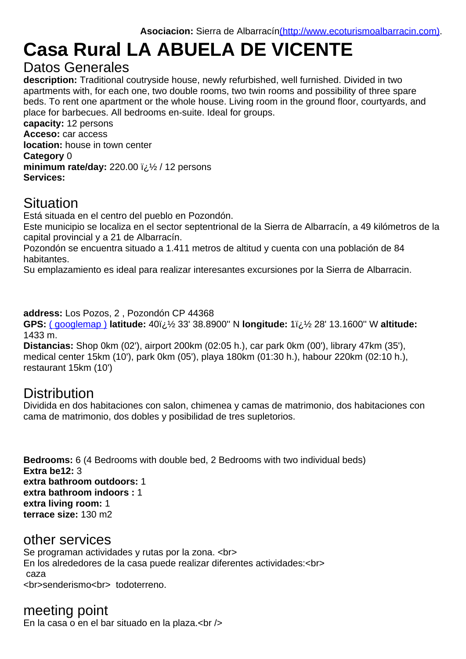# Casa Rural LA ABUELA DE VICENTE

#### Datos Generales

description: Traditional coutryside house, newly refurbished, [well furnished. Divided in two](http://ros.co.nz/pdf/) apartments with, for each one, two double rooms, two twin rooms and possibility of three spare beds. To rent one apartment or the whole house. Living room in the ground floor, courtyards, and place for barbecues. All bedrooms en-suite. Ideal for groups.

capacity: 12 persons Acceso: car access location: house in town center Category 0 minimum rate/day:  $220.00$  i $\frac{1}{2}$ / 12 persons Services:

# **Situation**

Está situada en el centro del pueblo en Pozondón.

Este municipio se localiza en el sector septentrional de la Sierra de Albarracín, a 49 kilómetros de la capital provincial y a 21 de Albarracín.

Pozondón se encuentra situado a 1.411 metros de altitud y cuenta con una población de 84 habitantes.

Su emplazamiento es ideal para realizar interesantes excursiones por la Sierra de Albarracin.

address: Los Pozos, 2 , Pozondón CP 44368

GPS: (googlemap) latitude: 40i;  $\frac{1}{2}$  33' 38.8900" N longitude: 1i;  $\frac{1}{2}$  28' 13.1600" W altitude: 1433 m.

Distancias: Shop 0km (02'), airport 200km (02:05 h.), car park 0km (00'), library 47km (35'), medical center 15km (10'), park 0km (05'), playa 180km (01:30 h.), habour 220km (02:10 h.), resta[urant 15km \(10](http://maps.google.com/maps?near=40.5608,-1.4703&ie=UTF8&z=15&om=1)')

## **Distribution**

Dividida en dos habitaciones con salon, chimenea y camas de matrimonio, dos habitaciones con cama de matrimonio, dos dobles y posibilidad de tres supletorios.

Bedrooms: 6 (4 Bedrooms with double bed, 2 Bedrooms with two individual beds) Extra be12: 3 extra bathroom outdoors: 1 extra bathroom indoors : 1 extra living room: 1 terrace size: 130 m2

#### other services

Se programan actividades y rutas por la zona. <br> En los alrededores de la casa puede realizar diferentes actividades:<br> caza <br/>
senderismo<br>
todoterreno.

meeting point En la casa o en el bar situado en la plaza.<br  $\gtrsim$